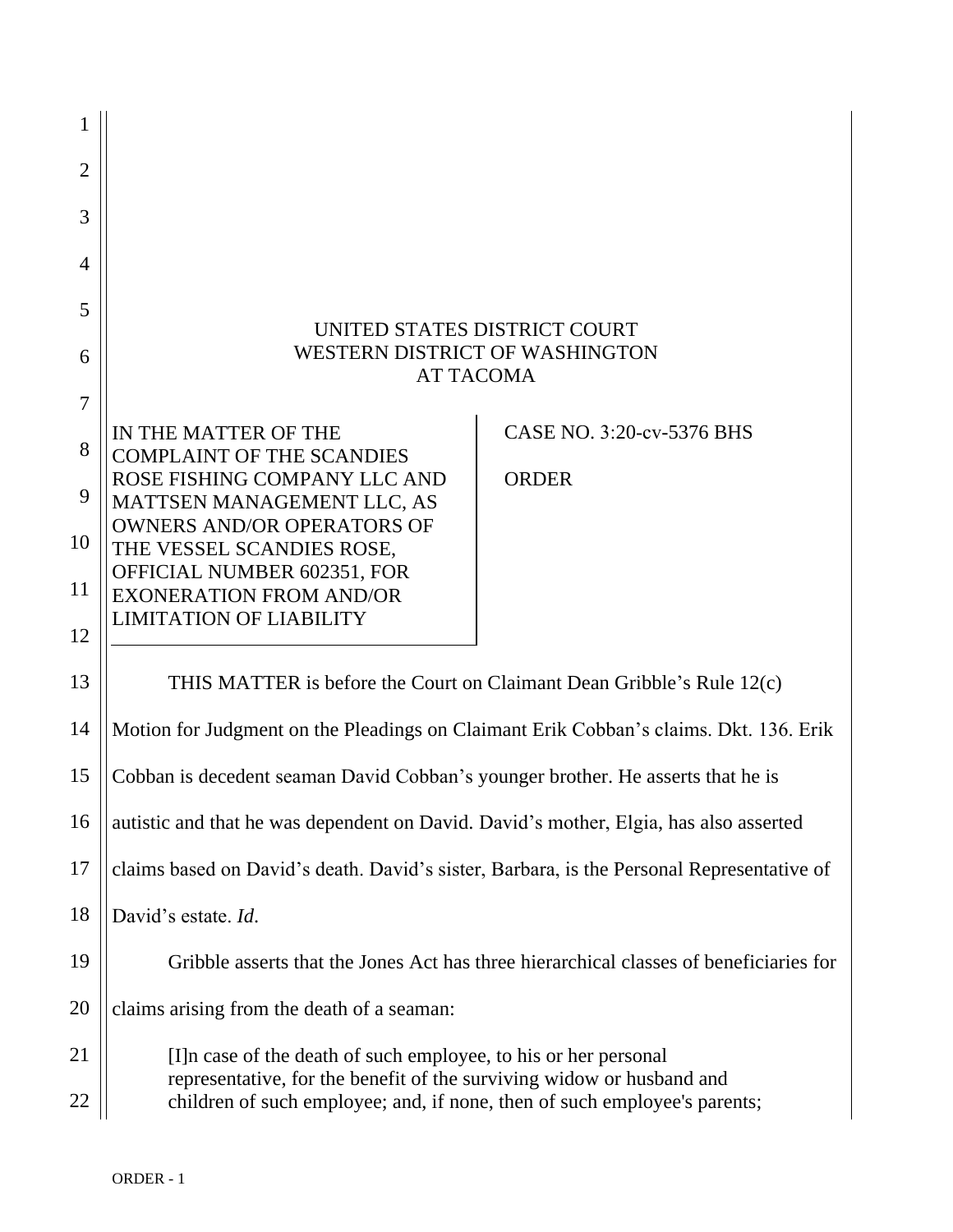| $\overline{2}$ |                                                                                                                                                    |                           |
|----------------|----------------------------------------------------------------------------------------------------------------------------------------------------|---------------------------|
| 3              |                                                                                                                                                    |                           |
| 4              |                                                                                                                                                    |                           |
| 5              |                                                                                                                                                    |                           |
| 6              | UNITED STATES DISTRICT COURT<br><b>WESTERN DISTRICT OF WASHINGTON</b><br><b>AT TACOMA</b>                                                          |                           |
| $\overline{7}$ | IN THE MATTER OF THE                                                                                                                               | CASE NO. 3:20-cv-5376 BHS |
| 8              | <b>COMPLAINT OF THE SCANDIES</b>                                                                                                                   |                           |
| 9              | ROSE FISHING COMPANY LLC AND<br>MATTSEN MANAGEMENT LLC, AS                                                                                         | <b>ORDER</b>              |
| 10             | <b>OWNERS AND/OR OPERATORS OF</b><br>THE VESSEL SCANDIES ROSE,                                                                                     |                           |
| 11             | OFFICIAL NUMBER 602351, FOR<br><b>EXONERATION FROM AND/OR</b>                                                                                      |                           |
| 12             | <b>LIMITATION OF LIABILITY</b>                                                                                                                     |                           |
| 13             | THIS MATTER is before the Court on Claimant Dean Gribble's Rule 12(c)                                                                              |                           |
| 14             | Motion for Judgment on the Pleadings on Claimant Erik Cobban's claims. Dkt. 136. Erik                                                              |                           |
| 15             | Cobban is decedent seaman David Cobban's younger brother. He asserts that he is                                                                    |                           |
| 16             | autistic and that he was dependent on David. David's mother, Elgia, has also asserted                                                              |                           |
| 17             | claims based on David's death. David's sister, Barbara, is the Personal Representative of                                                          |                           |
| 18             | David's estate. Id.                                                                                                                                |                           |
| 19             | Gribble asserts that the Jones Act has three hierarchical classes of beneficiaries for                                                             |                           |
| 20             | claims arising from the death of a seaman:                                                                                                         |                           |
| 21             | [I] n case of the death of such employee, to his or her personal                                                                                   |                           |
| 22             | representative, for the benefit of the surviving widow or husband and<br>children of such employee; and, if none, then of such employee's parents; |                           |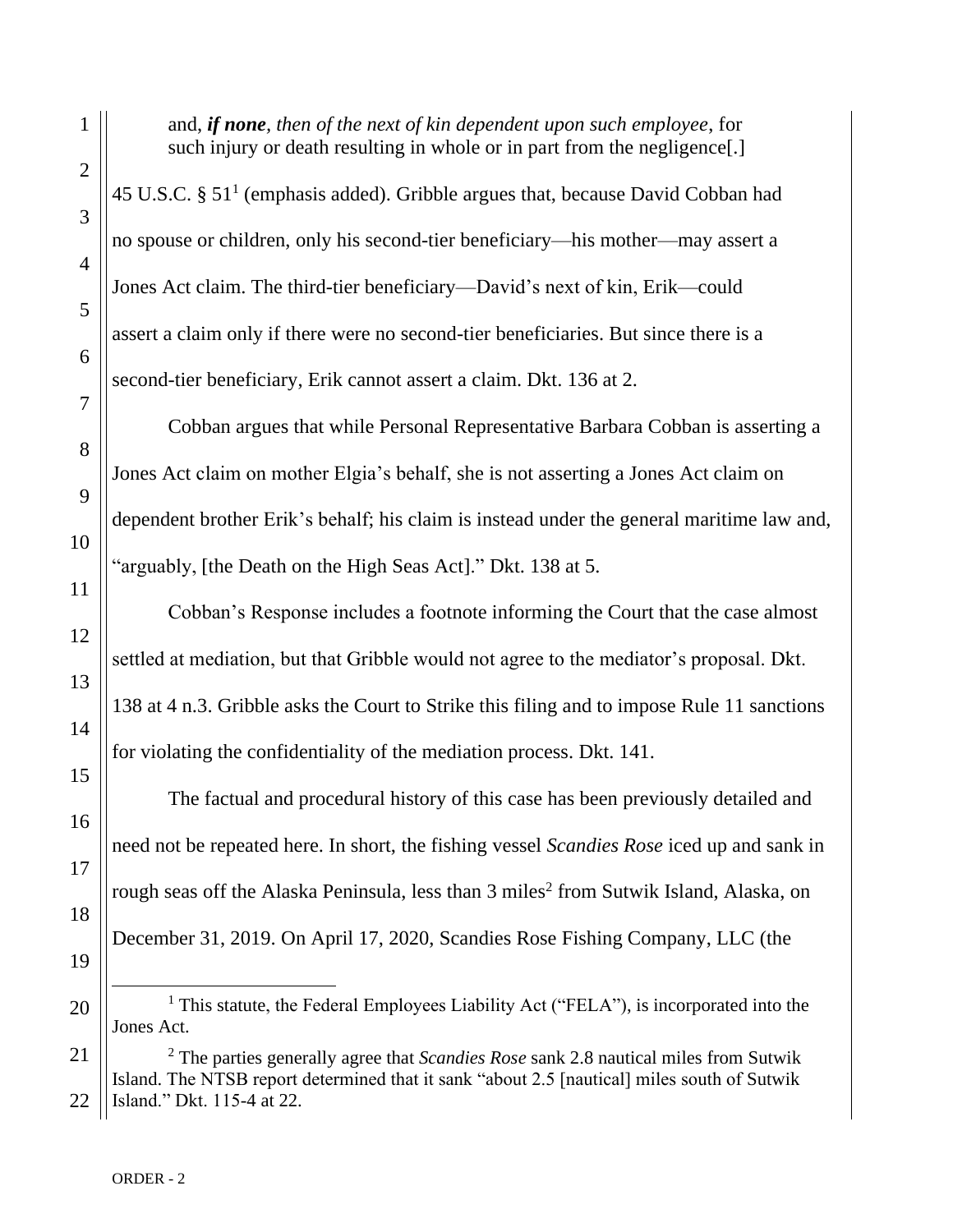1

2

3

4

5

6

7

8

9

10

11

12

13

14

15

16

17

19

20

and, *if none, then of the next of kin dependent upon such employee*, for such injury or death resulting in whole or in part from the negligence[.]

 $45$  U.S.C. §  $51<sup>1</sup>$  (emphasis added). Gribble argues that, because David Cobban had no spouse or children, only his second-tier beneficiary—his mother—may assert a Jones Act claim. The third-tier beneficiary—David's next of kin, Erik—could assert a claim only if there were no second-tier beneficiaries. But since there is a second-tier beneficiary, Erik cannot assert a claim. Dkt. 136 at 2.

Cobban argues that while Personal Representative Barbara Cobban is asserting a Jones Act claim on mother Elgia's behalf, she is not asserting a Jones Act claim on dependent brother Erik's behalf; his claim is instead under the general maritime law and, "arguably, [the Death on the High Seas Act]." Dkt. 138 at 5.

Cobban's Response includes a footnote informing the Court that the case almost settled at mediation, but that Gribble would not agree to the mediator's proposal. Dkt. 138 at 4 n.3. Gribble asks the Court to Strike this filing and to impose Rule 11 sanctions for violating the confidentiality of the mediation process. Dkt. 141.

The factual and procedural history of this case has been previously detailed and need not be repeated here. In short, the fishing vessel *Scandies Rose* iced up and sank in rough seas off the Alaska Peninsula, less than 3 miles<sup>2</sup> from Sutwik Island, Alaska, on December 31, 2019. On April 17, 2020, Scandies Rose Fishing Company, LLC (the

# <sup>1</sup> This statute, the Federal Employees Liability Act ("FELA"), is incorporated into the Jones Act.

21 22 <sup>2</sup> The parties generally agree that *Scandies Rose* sank 2.8 nautical miles from Sutwik Island. The NTSB report determined that it sank "about 2.5 [nautical] miles south of Sutwik Island." Dkt. 115-4 at 22.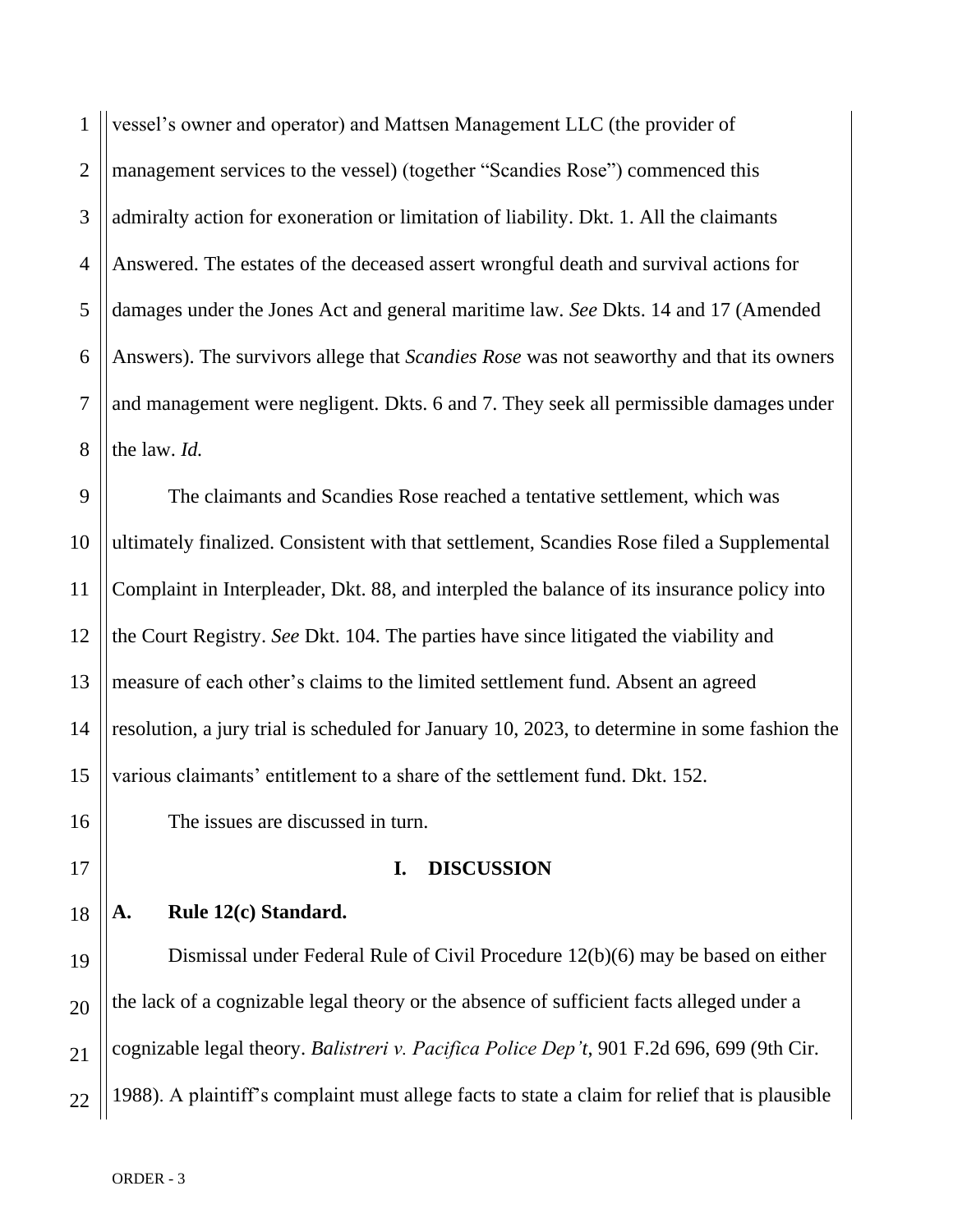1 2 3 4 5 6 7 8 vessel's owner and operator) and Mattsen Management LLC (the provider of management services to the vessel) (together "Scandies Rose") commenced this admiralty action for exoneration or limitation of liability. Dkt. 1. All the claimants Answered. The estates of the deceased assert wrongful death and survival actions for damages under the Jones Act and general maritime law. *See* Dkts. 14 and 17 (Amended Answers). The survivors allege that *Scandies Rose* was not seaworthy and that its owners and management were negligent. Dkts. 6 and 7. They seek all permissible damages under the law. *Id.*

9 10 11 12 13 14 15 The claimants and Scandies Rose reached a tentative settlement, which was ultimately finalized. Consistent with that settlement, Scandies Rose filed a Supplemental Complaint in Interpleader, Dkt. 88, and interpled the balance of its insurance policy into the Court Registry. *See* Dkt. 104. The parties have since litigated the viability and measure of each other's claims to the limited settlement fund. Absent an agreed resolution, a jury trial is scheduled for January 10, 2023, to determine in some fashion the various claimants' entitlement to a share of the settlement fund. Dkt. 152.

The issues are discussed in turn.

# **I. DISCUSSION**

**A. Rule 12(c) Standard.**

19 20 21 22 Dismissal under Federal Rule of Civil Procedure 12(b)(6) may be based on either the lack of a cognizable legal theory or the absence of sufficient facts alleged under a cognizable legal theory. *Balistreri v. Pacifica Police Dep't*, 901 F.2d 696, 699 (9th Cir. 1988). A plaintiff's complaint must allege facts to state a claim for relief that is plausible

16

17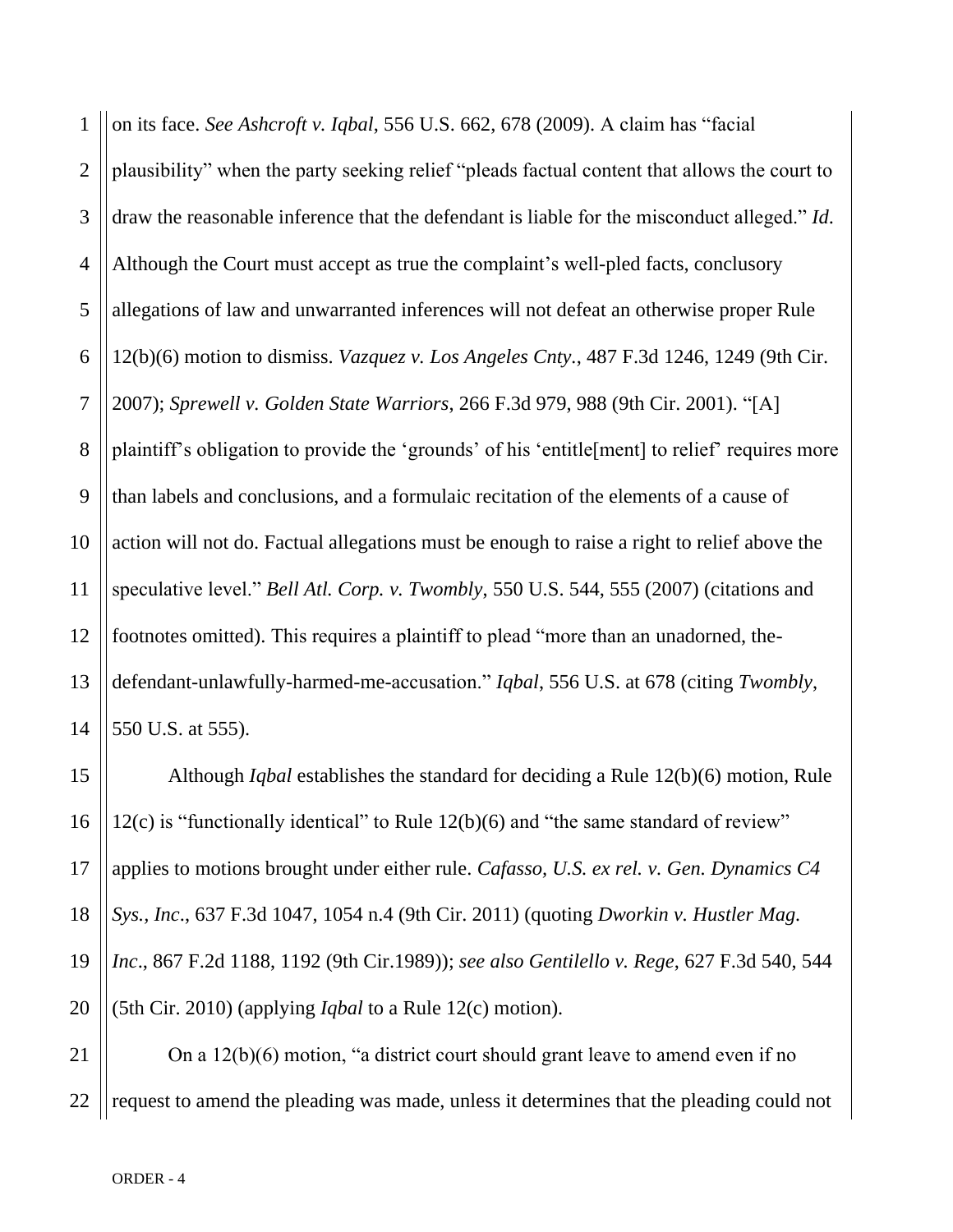1 2 3 4 5 6 7 8 9 10 11 12 13 14 on its face. *See Ashcroft v. Iqbal*, 556 U.S. 662, 678 (2009). A claim has "facial plausibility" when the party seeking relief "pleads factual content that allows the court to draw the reasonable inference that the defendant is liable for the misconduct alleged." *Id*. Although the Court must accept as true the complaint's well-pled facts, conclusory allegations of law and unwarranted inferences will not defeat an otherwise proper Rule 12(b)(6) motion to dismiss. *Vazquez v. Los Angeles Cnty.*, 487 F.3d 1246, 1249 (9th Cir. 2007); *Sprewell v. Golden State Warriors*, 266 F.3d 979, 988 (9th Cir. 2001). "[A] plaintiff's obligation to provide the 'grounds' of his 'entitle[ment] to relief' requires more than labels and conclusions, and a formulaic recitation of the elements of a cause of action will not do. Factual allegations must be enough to raise a right to relief above the speculative level." *Bell Atl. Corp. v. Twombly*, 550 U.S. 544, 555 (2007) (citations and footnotes omitted). This requires a plaintiff to plead "more than an unadorned, thedefendant-unlawfully-harmed-me-accusation." *Iqbal*, 556 U.S. at 678 (citing *Twombly*, 550 U.S. at 555).

Although *[Iqbal](https://web2.westlaw.com/find/default.wl?rs=WLW15.04&pbc=13C8F88C&vr=2.0&findtype=Y&rp=%2ffind%2fdefault.wl&sv=Split&fn=_top&tf=-1&ordoc=2024859050&mt=Westlaw&serialnum=2018848474&tc=-1)* establishes the standard for deciding a [Rule 12\(b\)\(6\)](https://web2.westlaw.com/find/default.wl?mt=Westlaw&db=1004365&docname=USFRCPR12&rp=%2ffind%2fdefault.wl&findtype=L&ordoc=2024859050&tc=-1&vr=2.0&fn=_top&sv=Split&tf=-1&pbc=13C8F88C&rs=WLW15.04) motion, [Rule](https://web2.westlaw.com/find/default.wl?mt=Westlaw&db=1004365&docname=USFRCPR12&rp=%2ffind%2fdefault.wl&findtype=L&ordoc=2024859050&tc=-1&vr=2.0&fn=_top&sv=Split&tf=-1&pbc=13C8F88C&rs=WLW15.04)  [12\(c\)](https://web2.westlaw.com/find/default.wl?mt=Westlaw&db=1004365&docname=USFRCPR12&rp=%2ffind%2fdefault.wl&findtype=L&ordoc=2024859050&tc=-1&vr=2.0&fn=_top&sv=Split&tf=-1&pbc=13C8F88C&rs=WLW15.04) is "functionally identical" to [Rule 12\(b\)\(6\)](https://web2.westlaw.com/find/default.wl?mt=Westlaw&db=1004365&docname=USFRCPR12&rp=%2ffind%2fdefault.wl&findtype=L&ordoc=2024859050&tc=-1&vr=2.0&fn=_top&sv=Split&tf=-1&pbc=13C8F88C&rs=WLW15.04) and "the same standard of review" applies to motions brought under either rule. *Cafasso, U.S. ex rel. v. Gen. Dynamics C4 Sys., Inc*., 637 F.3d 1047, 1054 n.4 (9th Cir. 2011) (quoting *[Dworkin v. Hustler Mag.](https://web2.westlaw.com/find/default.wl?mt=Westlaw&db=350&tc=-1&rp=%2ffind%2fdefault.wl&findtype=Y&ordoc=2024859050&serialnum=1989014572&vr=2.0&fn=_top&sv=Split&tf=-1&referencepositiontype=S&pbc=13C8F88C&referenceposition=1192&rs=WLW15.04) Inc*[., 867 F.2d 1188, 1192 \(9th Cir.1989\)\)](https://web2.westlaw.com/find/default.wl?mt=Westlaw&db=350&tc=-1&rp=%2ffind%2fdefault.wl&findtype=Y&ordoc=2024859050&serialnum=1989014572&vr=2.0&fn=_top&sv=Split&tf=-1&referencepositiontype=S&pbc=13C8F88C&referenceposition=1192&rs=WLW15.04); *see also Gentilello v. Rege*[, 627 F.3d 540, 544](https://web2.westlaw.com/find/default.wl?mt=Westlaw&db=506&tc=-1&rp=%2ffind%2fdefault.wl&findtype=Y&ordoc=2024859050&serialnum=2023911042&vr=2.0&fn=_top&sv=Split&tf=-1&referencepositiontype=S&pbc=13C8F88C&referenceposition=544&rs=WLW15.04)  [\(5th Cir.](https://web2.westlaw.com/find/default.wl?mt=Westlaw&db=506&tc=-1&rp=%2ffind%2fdefault.wl&findtype=Y&ordoc=2024859050&serialnum=2023911042&vr=2.0&fn=_top&sv=Split&tf=-1&referencepositiontype=S&pbc=13C8F88C&referenceposition=544&rs=WLW15.04) 2010) (applying *[Iqbal](https://web2.westlaw.com/find/default.wl?rs=WLW15.04&pbc=13C8F88C&vr=2.0&findtype=Y&rp=%2ffind%2fdefault.wl&sv=Split&fn=_top&tf=-1&ordoc=2024859050&mt=Westlaw&serialnum=2018848474&tc=-1)* to a [Rule 12\(c\)](https://web2.westlaw.com/find/default.wl?mt=Westlaw&db=1004365&docname=USFRCPR12&rp=%2ffind%2fdefault.wl&findtype=L&ordoc=2024859050&tc=-1&vr=2.0&fn=_top&sv=Split&tf=-1&pbc=13C8F88C&rs=WLW15.04) motion).

21 22 On a 12(b)(6) motion, "a district court should grant leave to amend even if no request to amend the pleading was made, unless it determines that the pleading could not

15

16

17

18

19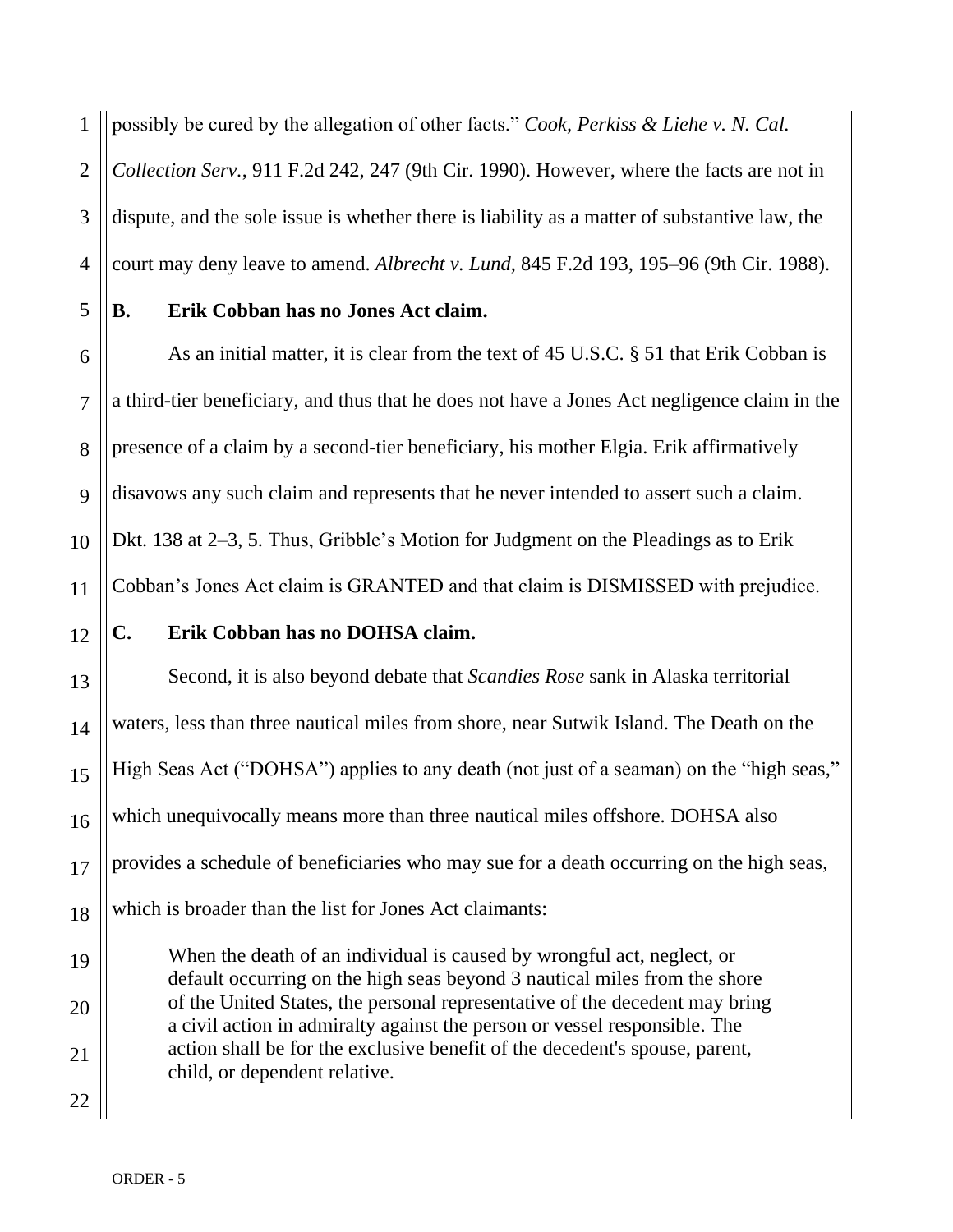1 possibly be cured by the allegation of other facts." *Cook, Perkiss & Liehe v. N. Cal.* 

2 3 4 *Collection Serv.*, 911 F.2d 242, 247 (9th Cir. 1990). However, where the facts are not in dispute, and the sole issue is whether there is liability as a matter of substantive law, the court may deny leave to amend. *Albrecht v. Lund*, 845 F.2d 193, 195–96 (9th Cir. 1988).

5

6

7

8

9

11

12

13

14

15

16

17

18

19

20

21

22

# **B. Erik Cobban has no Jones Act claim.**

10 As an initial matter, it is clear from the text of 45 U.S.C. § 51 that Erik Cobban is a third-tier beneficiary, and thus that he does not have a Jones Act negligence claim in the presence of a claim by a second-tier beneficiary, his mother Elgia. Erik affirmatively disavows any such claim and represents that he never intended to assert such a claim. Dkt. 138 at 2–3, 5. Thus, Gribble's Motion for Judgment on the Pleadings as to Erik Cobban's Jones Act claim is GRANTED and that claim is DISMISSED with prejudice.

### **C. Erik Cobban has no DOHSA claim.**

Second, it is also beyond debate that *Scandies Rose* sank in Alaska territorial waters, less than three nautical miles from shore, near Sutwik Island. The Death on the High Seas Act ("DOHSA") applies to any death (not just of a seaman) on the "high seas," which unequivocally means more than three nautical miles offshore. DOHSA also provides a schedule of beneficiaries who may sue for a death occurring on the high seas, which is broader than the list for Jones Act claimants:

When the death of an individual is caused by wrongful act, neglect, or default occurring on the high seas beyond 3 nautical miles from the shore of the United States, the personal representative of the decedent may bring a civil action in admiralty against the person or vessel responsible. The action shall be for the exclusive benefit of the decedent's spouse, parent, child, or dependent relative.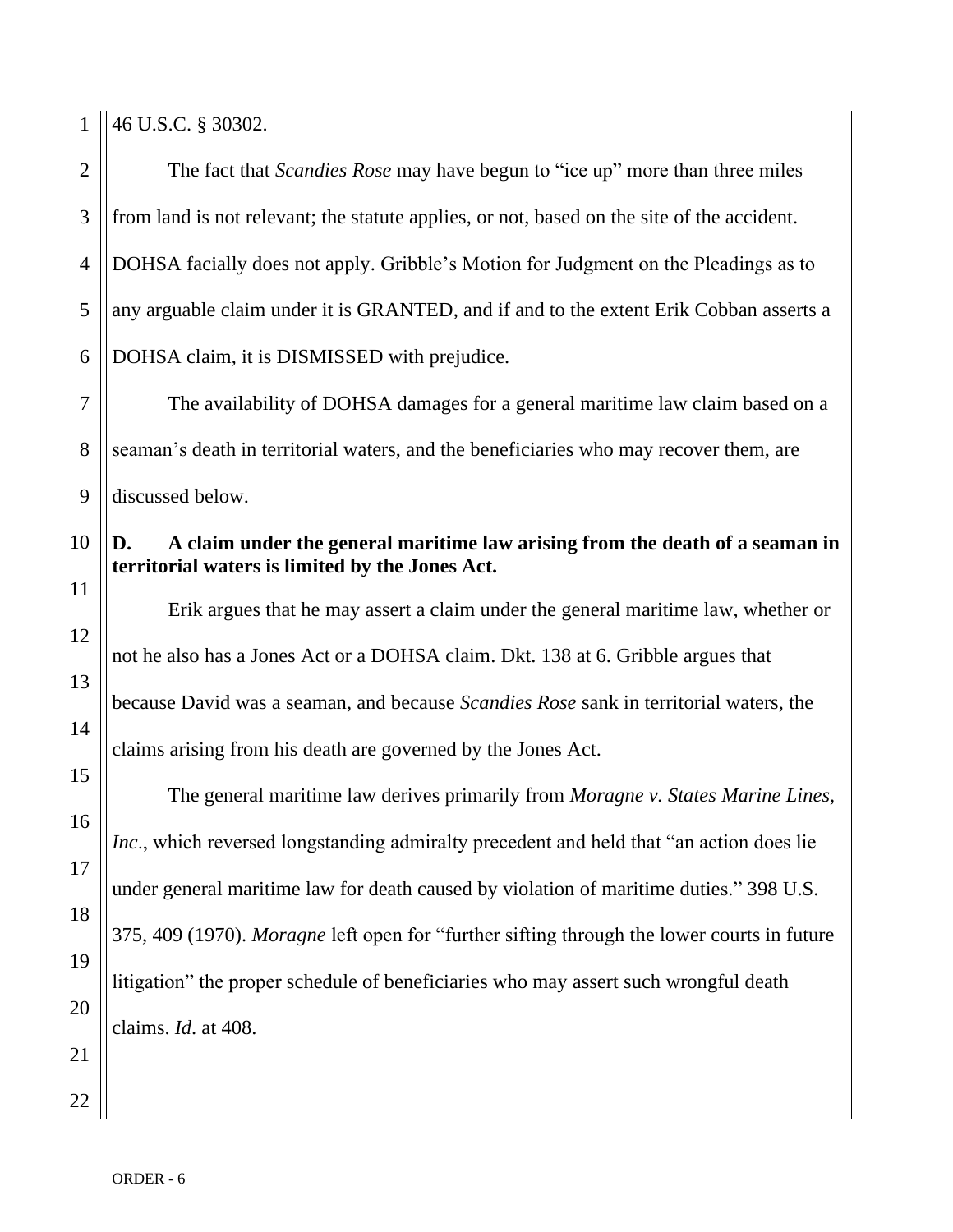1

7

8

9

11

12

13

14

15

16

17

18

46 U.S.C. § 30302.

2 3 4 5 6 The fact that *Scandies Rose* may have begun to "ice up" more than three miles from land is not relevant; the statute applies, or not, based on the site of the accident. DOHSA facially does not apply. Gribble's Motion for Judgment on the Pleadings as to any arguable claim under it is GRANTED, and if and to the extent Erik Cobban asserts a DOHSA claim, it is DISMISSED with prejudice.

The availability of DOHSA damages for a general maritime law claim based on a seaman's death in territorial waters, and the beneficiaries who may recover them, are discussed below.

#### 10 **D. A claim under the general maritime law arising from the death of a seaman in territorial waters is limited by the Jones Act.**

Erik argues that he may assert a claim under the general maritime law, whether or not he also has a Jones Act or a DOHSA claim. Dkt. 138 at 6. Gribble argues that because David was a seaman, and because *Scandies Rose* sank in territorial waters, the claims arising from his death are governed by the Jones Act.

The general maritime law derives primarily from *Moragne v. States Marine Lines, Inc*., which reversed longstanding admiralty precedent and held that "an action does lie under general maritime law for death caused by violation of maritime duties." 398 U.S. 375, 409 (1970). *Moragne* left open for "further sifting through the lower courts in future litigation" the proper schedule of beneficiaries who may assert such wrongful death claims. *Id*. at 408.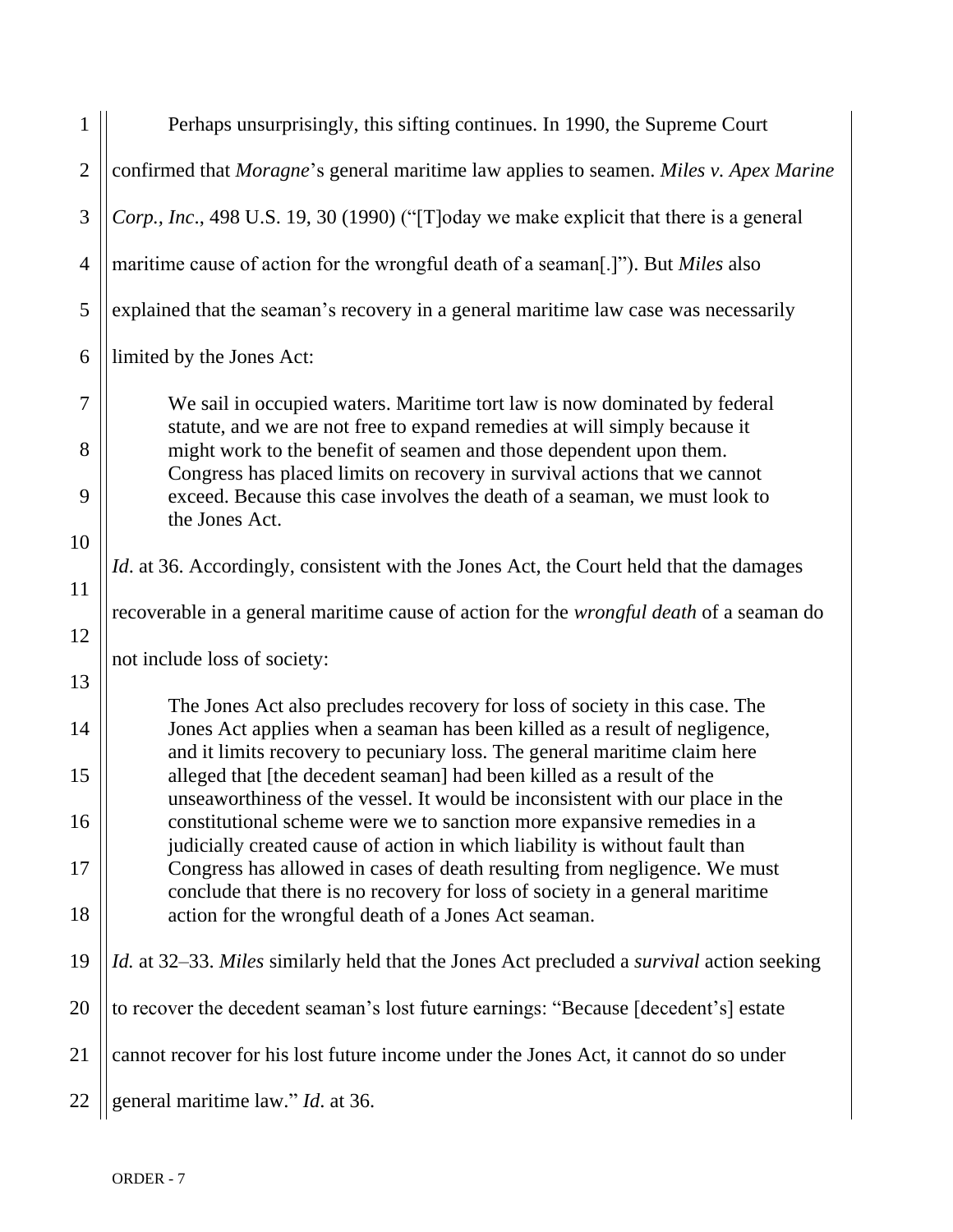| 1              | Perhaps unsurprisingly, this sifting continues. In 1990, the Supreme Court                                                                                |  |
|----------------|-----------------------------------------------------------------------------------------------------------------------------------------------------------|--|
| $\overline{2}$ | confirmed that Moragne's general maritime law applies to seamen. Miles v. Apex Marine                                                                     |  |
| 3              | Corp., Inc., 498 U.S. 19, 30 (1990) ("[T]oday we make explicit that there is a general                                                                    |  |
| $\overline{4}$ | maritime cause of action for the wrongful death of a seaman[.]"). But Miles also                                                                          |  |
| 5              | explained that the seaman's recovery in a general maritime law case was necessarily                                                                       |  |
| 6              | limited by the Jones Act:                                                                                                                                 |  |
| $\overline{7}$ | We sail in occupied waters. Maritime tort law is now dominated by federal                                                                                 |  |
| 8              | statute, and we are not free to expand remedies at will simply because it<br>might work to the benefit of seamen and those dependent upon them.           |  |
| 9              | Congress has placed limits on recovery in survival actions that we cannot<br>exceed. Because this case involves the death of a seaman, we must look to    |  |
| 10             | the Jones Act.                                                                                                                                            |  |
| 11             | Id. at 36. Accordingly, consistent with the Jones Act, the Court held that the damages                                                                    |  |
| 12             | recoverable in a general maritime cause of action for the <i>wrongful death</i> of a seaman do                                                            |  |
| 13             | not include loss of society:                                                                                                                              |  |
|                | The Jones Act also precludes recovery for loss of society in this case. The                                                                               |  |
| 14             | Jones Act applies when a seaman has been killed as a result of negligence,<br>and it limits recovery to pecuniary loss. The general maritime claim here   |  |
| 15             | alleged that [the decedent seaman] had been killed as a result of the<br>unseaworthiness of the vessel. It would be inconsistent with our place in the    |  |
| 16             | constitutional scheme were we to sanction more expansive remedies in a<br>judicially created cause of action in which liability is without fault than     |  |
| 17             | Congress has allowed in cases of death resulting from negligence. We must<br>conclude that there is no recovery for loss of society in a general maritime |  |
| 18             | action for the wrongful death of a Jones Act seaman.                                                                                                      |  |
| 19             | Id. at 32-33. Miles similarly held that the Jones Act precluded a survival action seeking                                                                 |  |
| 20             | to recover the decedent seaman's lost future earnings: "Because [decedent's] estate                                                                       |  |
| 21             | cannot recover for his lost future income under the Jones Act, it cannot do so under                                                                      |  |
| 22             | general maritime law." Id. at 36.                                                                                                                         |  |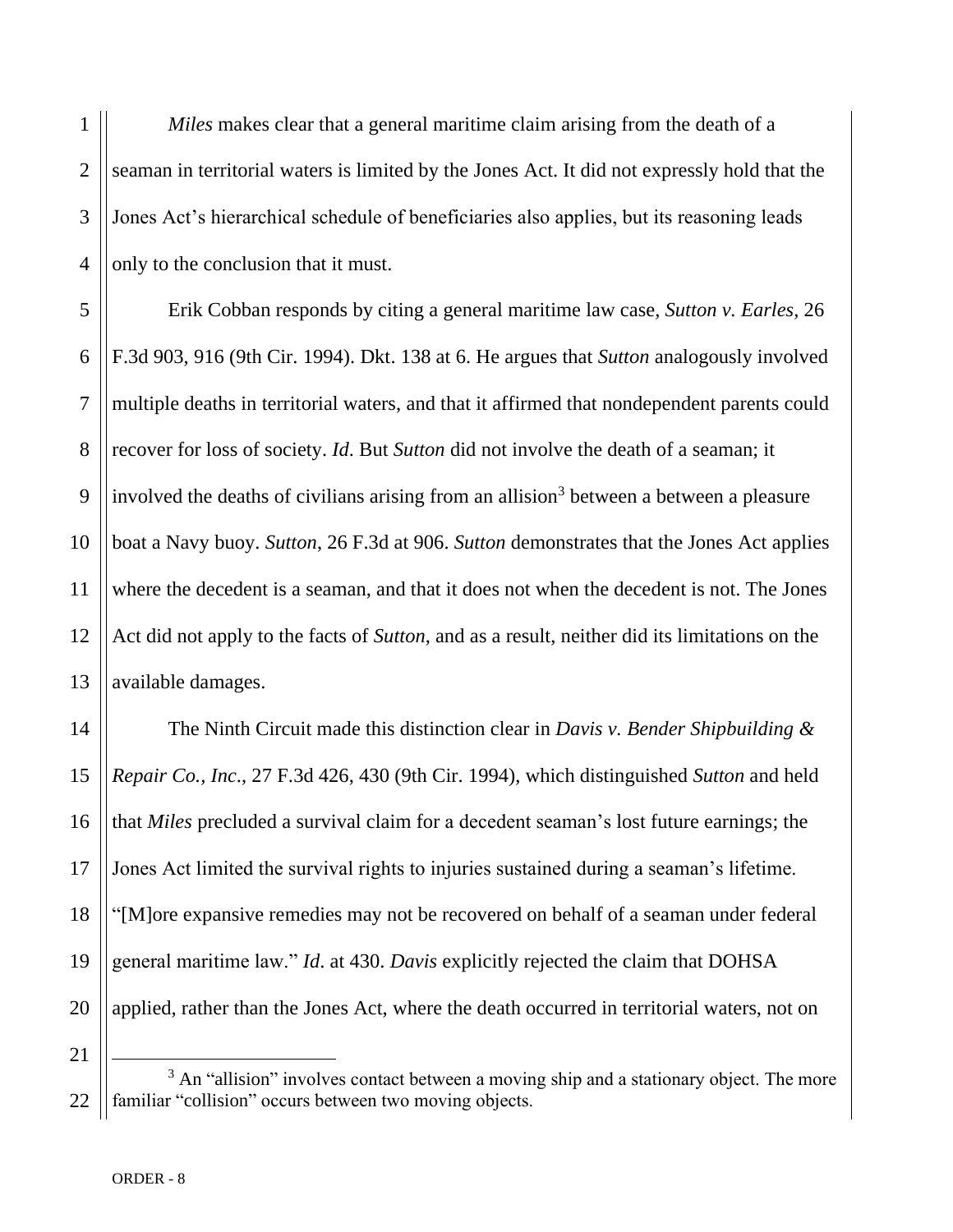1 2 3 4 *Miles* makes clear that a general maritime claim arising from the death of a seaman in territorial waters is limited by the Jones Act. It did not expressly hold that the Jones Act's hierarchical schedule of beneficiaries also applies, but its reasoning leads only to the conclusion that it must.

Erik Cobban responds by citing a general maritime law case, *Sutton v. Earles*, 26 F.3d 903, 916 (9th Cir. 1994). Dkt. 138 at 6. He argues that *Sutton* analogously involved multiple deaths in territorial waters, and that it affirmed that nondependent parents could recover for loss of society. *Id*. But *Sutton* did not involve the death of a seaman; it involved the deaths of civilians arising from an allision<sup>3</sup> between a between a pleasure boat a Navy buoy. *Sutton*, 26 F.3d at 906. *Sutton* demonstrates that the Jones Act applies where the decedent is a seaman, and that it does not when the decedent is not. The Jones Act did not apply to the facts of *Sutton*, and as a result, neither did its limitations on the available damages.

The Ninth Circuit made this distinction clear in *Davis v. Bender Shipbuilding & Repair Co., Inc*., 27 F.3d 426, 430 (9th Cir. 1994), which distinguished *Sutton* and held that *Miles* precluded a survival claim for a decedent seaman's lost future earnings; the Jones Act limited the survival rights to injuries sustained during a seaman's lifetime. "[M]ore expansive remedies may not be recovered on behalf of a seaman under federal general maritime law." *Id*. at 430. *Davis* explicitly rejected the claim that DOHSA applied, rather than the Jones Act, where the death occurred in territorial waters, not on

<sup>22</sup>  $3$  An "allision" involves contact between a moving ship and a stationary object. The more familiar "collision" occurs between two moving objects.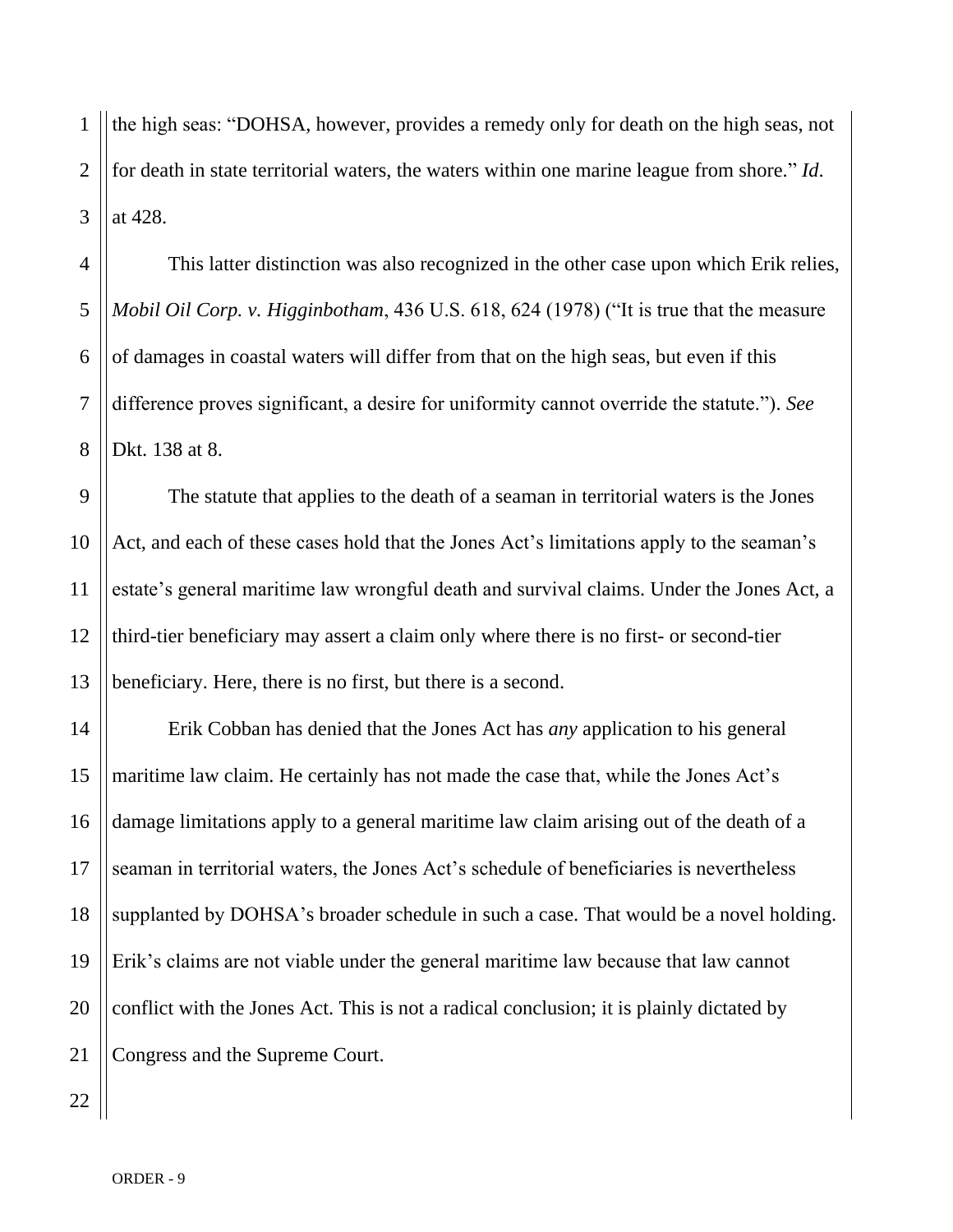1 2 3 the high seas: "DOHSA, however, provides a remedy only for death on the high seas, not for death in state territorial waters, the waters within one marine league from shore." *Id*. at 428.

4 5 6 7 8 This latter distinction was also recognized in the other case upon which Erik relies, *Mobil Oil Corp. v. Higginbotham*, 436 U.S. 618, 624 (1978) ("It is true that the measure of damages in coastal waters will differ from that on the high seas, but even if this difference proves significant, a desire for uniformity cannot override the statute."). *See* Dkt. 138 at 8.

9 10 11 12 13 The statute that applies to the death of a seaman in territorial waters is the Jones Act, and each of these cases hold that the Jones Act's limitations apply to the seaman's estate's general maritime law wrongful death and survival claims. Under the Jones Act, a third-tier beneficiary may assert a claim only where there is no first- or second-tier beneficiary. Here, there is no first, but there is a second.

14 15 16 17 18 19 20 21 Erik Cobban has denied that the Jones Act has *any* application to his general maritime law claim. He certainly has not made the case that, while the Jones Act's damage limitations apply to a general maritime law claim arising out of the death of a seaman in territorial waters, the Jones Act's schedule of beneficiaries is nevertheless supplanted by DOHSA's broader schedule in such a case. That would be a novel holding. Erik's claims are not viable under the general maritime law because that law cannot conflict with the Jones Act. This is not a radical conclusion; it is plainly dictated by Congress and the Supreme Court.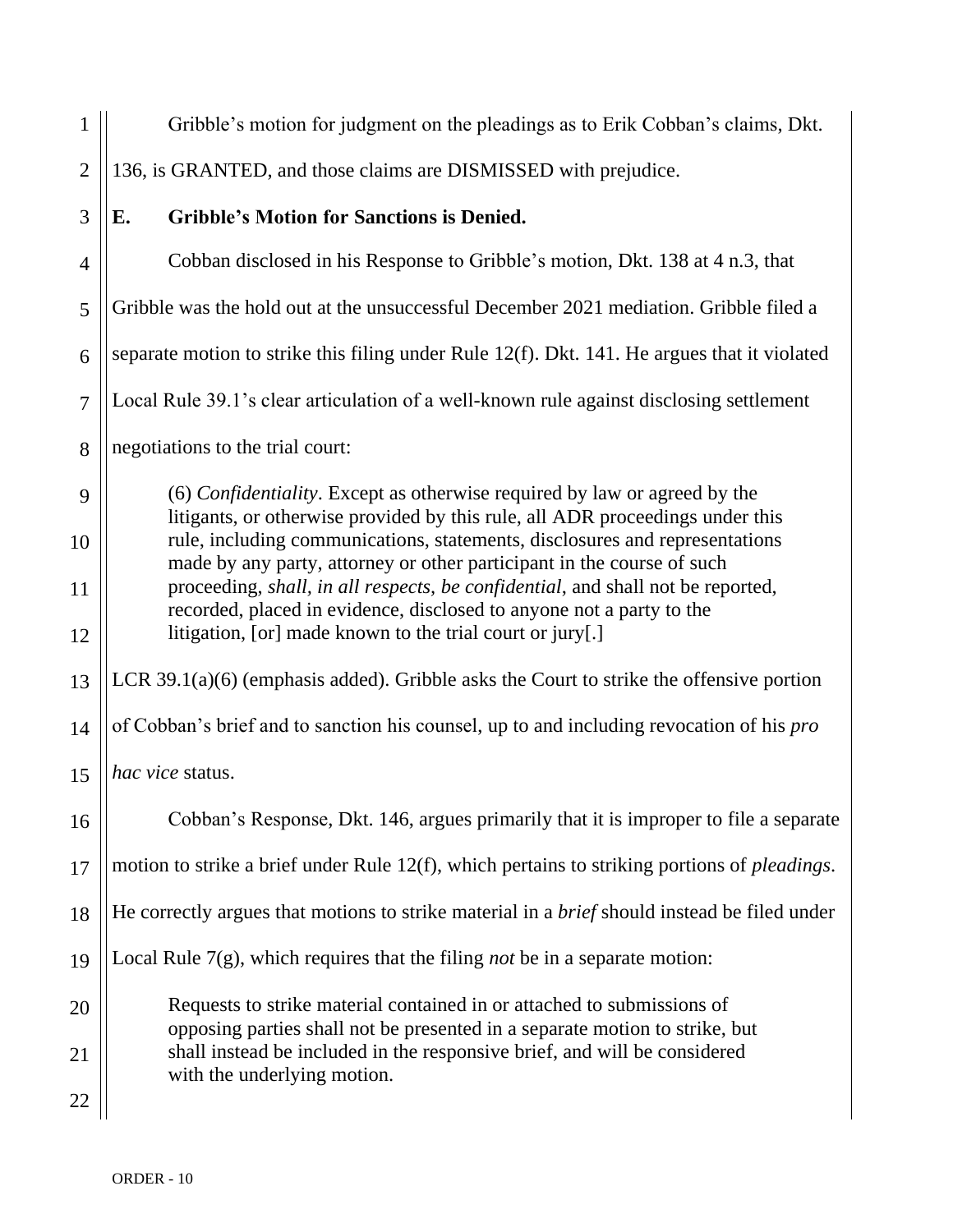1 2 3 4 5 6 7 8 9 10 11 12 13 14 15 16 17 18 19 20 21 22 Gribble's motion for judgment on the pleadings as to Erik Cobban's claims, Dkt. 136, is GRANTED, and those claims are DISMISSED with prejudice. **E. Gribble's Motion for Sanctions is Denied.**  Cobban disclosed in his Response to Gribble's motion, Dkt. 138 at 4 n.3, that Gribble was the hold out at the unsuccessful December 2021 mediation. Gribble filed a separate motion to strike this filing under Rule 12(f). Dkt. 141. He argues that it violated Local Rule 39.1's clear articulation of a well-known rule against disclosing settlement negotiations to the trial court: (6) *Confidentiality*. Except as otherwise required by law or agreed by the litigants, or otherwise provided by this rule, all ADR proceedings under this rule, including communications, statements, disclosures and representations made by any party, attorney or other participant in the course of such proceeding, *shall, in all respects, be confidential*, and shall not be reported, recorded, placed in evidence, disclosed to anyone not a party to the litigation, [or] made known to the trial court or jury[.] LCR 39.1(a)(6) (emphasis added). Gribble asks the Court to strike the offensive portion of Cobban's brief and to sanction his counsel, up to and including revocation of his *pro hac vice* status. Cobban's Response, Dkt. 146, argues primarily that it is improper to file a separate motion to strike a brief under Rule 12(f), which pertains to striking portions of *pleadings*. He correctly argues that motions to strike material in a *brief* should instead be filed under Local Rule 7(g), which requires that the filing *not* be in a separate motion: Requests to strike material contained in or attached to submissions of opposing parties shall not be presented in a separate motion to strike, but shall instead be included in the responsive brief, and will be considered with the underlying motion.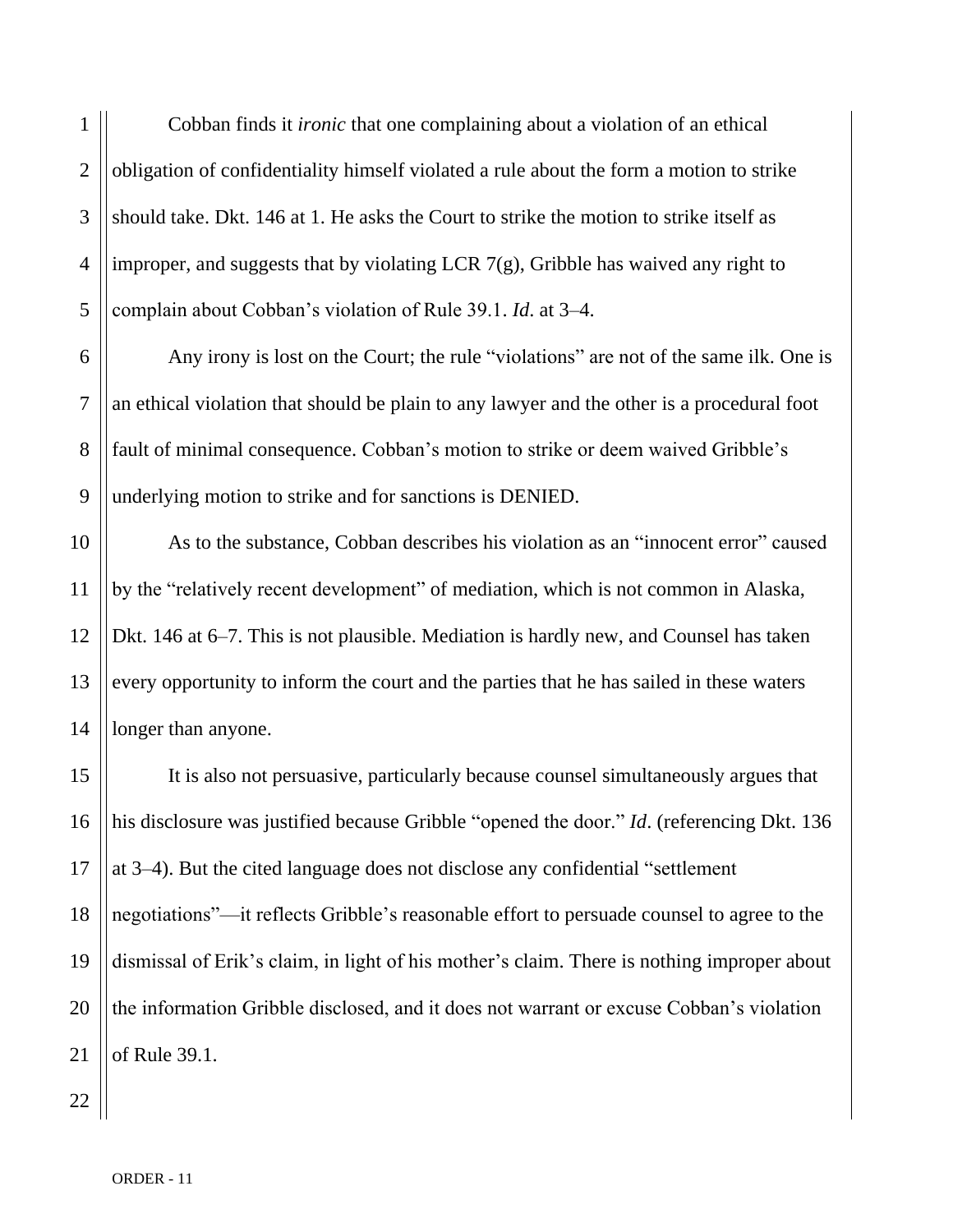1 2 3 4 5 Cobban finds it *ironic* that one complaining about a violation of an ethical obligation of confidentiality himself violated a rule about the form a motion to strike should take. Dkt. 146 at 1. He asks the Court to strike the motion to strike itself as improper, and suggests that by violating LCR 7(g), Gribble has waived any right to complain about Cobban's violation of Rule 39.1. *Id*. at 3–4.

Any irony is lost on the Court; the rule "violations" are not of the same ilk. One is an ethical violation that should be plain to any lawyer and the other is a procedural foot fault of minimal consequence. Cobban's motion to strike or deem waived Gribble's underlying motion to strike and for sanctions is DENIED.

As to the substance, Cobban describes his violation as an "innocent error" caused by the "relatively recent development" of mediation, which is not common in Alaska, Dkt. 146 at 6–7. This is not plausible. Mediation is hardly new, and Counsel has taken every opportunity to inform the court and the parties that he has sailed in these waters longer than anyone.

16 18 It is also not persuasive, particularly because counsel simultaneously argues that his disclosure was justified because Gribble "opened the door." *Id*. (referencing Dkt. 136 at 3–4). But the cited language does not disclose any confidential "settlement negotiations"—it reflects Gribble's reasonable effort to persuade counsel to agree to the dismissal of Erik's claim, in light of his mother's claim. There is nothing improper about the information Gribble disclosed, and it does not warrant or excuse Cobban's violation of Rule 39.1.

6

7

8

9

10

11

12

13

14

15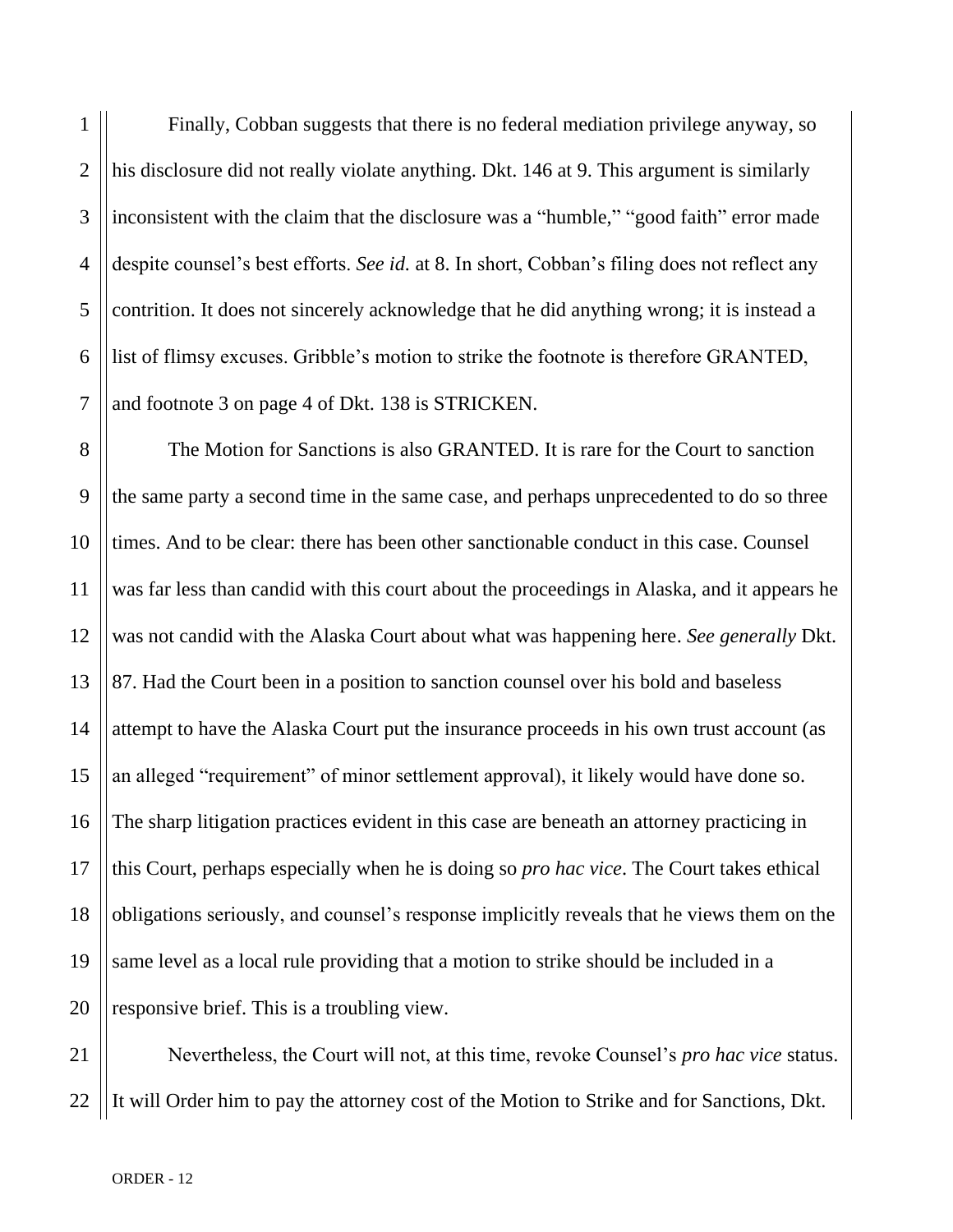1 2 3 4 5 6 Finally, Cobban suggests that there is no federal mediation privilege anyway, so his disclosure did not really violate anything. Dkt. 146 at 9. This argument is similarly inconsistent with the claim that the disclosure was a "humble," "good faith" error made despite counsel's best efforts. *See id.* at 8. In short, Cobban's filing does not reflect any contrition. It does not sincerely acknowledge that he did anything wrong; it is instead a list of flimsy excuses. Gribble's motion to strike the footnote is therefore GRANTED, and footnote 3 on page 4 of Dkt. 138 is STRICKEN.

The Motion for Sanctions is also GRANTED. It is rare for the Court to sanction the same party a second time in the same case, and perhaps unprecedented to do so three times. And to be clear: there has been other sanctionable conduct in this case. Counsel was far less than candid with this court about the proceedings in Alaska, and it appears he was not candid with the Alaska Court about what was happening here. *See generally* Dkt. 87. Had the Court been in a position to sanction counsel over his bold and baseless attempt to have the Alaska Court put the insurance proceeds in his own trust account (as an alleged "requirement" of minor settlement approval), it likely would have done so. The sharp litigation practices evident in this case are beneath an attorney practicing in this Court, perhaps especially when he is doing so *pro hac vice*. The Court takes ethical obligations seriously, and counsel's response implicitly reveals that he views them on the same level as a local rule providing that a motion to strike should be included in a responsive brief. This is a troubling view.

21 22 Nevertheless, the Court will not, at this time, revoke Counsel's *pro hac vice* status. It will Order him to pay the attorney cost of the Motion to Strike and for Sanctions, Dkt.